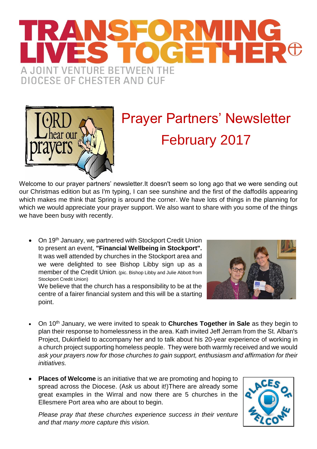## FORMING<br>OCETHER<sup>®</sup> SFORM A JOINT VENTURE BETWEEN THE **DIOCESE OF CHESTER AND CUF**



## Prayer Partners' Newsletter February 2017

Welcome to our prayer partners' newsletter.It doesn't seem so long ago that we were sending out our Christmas edition but as I'm typing, I can see sunshine and the first of the daffodils appearing which makes me think that Spring is around the corner. We have lots of things in the planning for which we would appreciate your prayer support. We also want to share with you some of the things we have been busy with recently.

• On 19<sup>th</sup> January, we partnered with Stockport Credit Union to present an event, **"Financial Wellbeing in Stockport".** It was well attended by churches in the Stockport area and we were delighted to see Bishop Libby sign up as a member of the Credit Union. (pic. Bishop Libby and Julie Abbott from Stockport Credit Union)

We believe that the church has a responsibility to be at the centre of a fairer financial system and this will be a starting point.



- On 10th January, we were invited to speak to **Churches Together in Sale** as they begin to plan their response to homelessness in the area. Kath invited Jeff Jerram from the St. Alban's Project, Dukinfield to accompany her and to talk about his 20-year experience of working in a church project supporting homeless people. They were both warmly received and we would *ask your prayers now for those churches to gain support, enthusiasm and affirmation for their initiatives.*
- **Places of Welcome** is an initiative that we are promoting and hoping to spread across the Diocese. (Ask us about it!)There are already some great examples in the Wirral and now there are 5 churches in the Ellesmere Port area who are about to begin.

*Please pray that these churches experience success in their venture and that many more capture this vision.*